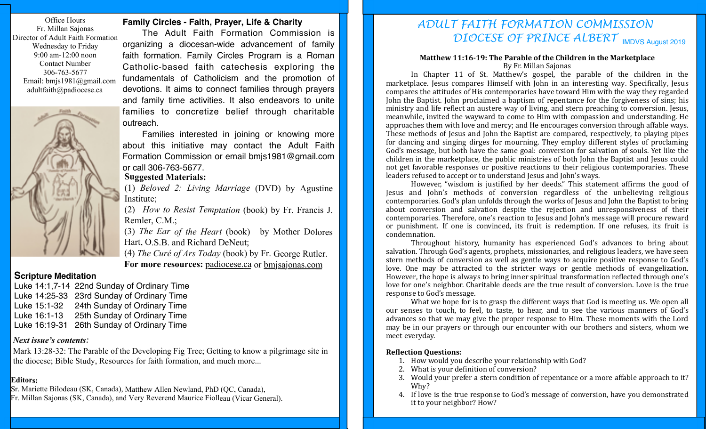Office Hours Fr. Millan Sajonas Director of Adult Faith Formation Wednesday to Friday 9:00 am-12:00 noon Contact Number 306-763-5677 Email: bmjs1981@gmail.com adultfaith@padiocese.ca



## **Family Circles - Faith, Prayer, Life & Charity**

The Adult Faith Formation Commission is organizing a diocesan-wide advancement of family faith formation. Family Circles Program is a Roman Catholic-based faith catechesis exploring the fundamentals of Catholicism and the promotion of devotions. It aims to connect families through prayers and family time activities. It also endeavors to unite families to concretize belief through charitable outreach.

Families interested in joining or knowing more about this initiative may contact the Adult Faith Formation Commission or email bmjs1981@gmail.com or call 306-763-5677.

## **Suggested Materials:**

(1) *Beloved 2: Living Marriage* (DVD) by Agustine Institute;

(2) *How to Resist Temptation* (book) by Fr. Francis J. Remler, C.M.;

(3) *The Ear of the Heart* (book) by Mother Dolores Hart, O.S.B. and Richard DeNeut;

(4) *The Curé of Ars Today* (book) by Fr. George Rutler. **For more resources:** padiocese.ca or bmjsajonas.com

### **Scripture Meditation**

Luke 14:1,7-14 22nd Sunday of Ordinary Time Luke 14:25-33 23rd Sunday of Ordinary Time Luke 15:1-32 24th Sunday of Ordinary Time Luke 16:1-13 25th Sunday of Ordinary Time Luke 16:19-31 26th Sunday of Ordinary Time

## *Next issue's contents:*

Mark 13:28-32: The Parable of the Developing Fig Tree; Getting to know a pilgrimage site in the diocese; Bible Study, Resources for faith formation, and much more...

#### **Editors:**

Sr. Mariette Bilodeau (SK, Canada), Matthew Allen Newland, PhD (QC, Canada), Fr. Millan Sajonas (SK, Canada), and Very Reverend Maurice Fiolleau (Vicar General).

# DIOCESE OF PRINCE ALBERT **IMDVS August 2019** *ADULT FAITH FORMATION COMMISSION*

#### **Matthew 11:16-19: The Parable of the Children in the Marketplace** By Fr. Millan Sajonas

In Chapter 11 of St. Matthew's gospel, the parable of the children in the marketplace. Jesus compares Himself with John in an interesting way. Specifically, Jesus compares the attitudes of His contemporaries have toward Him with the way they regarded John the Baptist. John proclaimed a baptism of repentance for the forgiveness of sins; his ministry and life reflect an austere way of living, and stern preaching to conversion. Jesus, meanwhile, invited the wayward to come to Him with compassion and understanding. He approaches them with love and mercy; and He encourages conversion through affable ways. These methods of Jesus and John the Baptist are compared, respectively, to playing pipes for dancing and singing dirges for mourning. They employ different styles of proclaming God's message, but both have the same goal: conversion for salvation of souls. Yet like the children in the marketplace, the public ministries of both John the Baptist and Jesus could not get favorable responses or positive reactions to their religious contemporaries. These leaders refused to accept or to understand Jesus and John's ways.

However, "wisdom is justified by her deeds." This statement affirms the good of Jesus and John's methods of conversion regardless of the unbelieving religious contemporaries. God's plan unfolds through the works of Jesus and John the Baptist to bring about conversion and salvation despite the rejection and unresponsiveness of their contemporaries. Therefore, one's reaction to Jesus and John's message will procure reward or punishment. If one is convinced, its fruit is redemption. If one refuses, its fruit is condemnation.

Throughout history, humanity has experienced God's advances to bring about salvation. Through God's agents, prophets, missionaries, and religious leaders, we have seen stern methods of conversion as well as gentle ways to acquire positive response to God's love. One may be attracted to the stricter ways or gentle methods of evangelization. However, the hope is always to bring inner spiritual transformation reflected through one's love for one's neighbor. Charitable deeds are the true result of conversion. Love is the true response to God's message.

What we hope for is to grasp the different ways that God is meeting us. We open all our senses to touch, to feel, to taste, to hear, and to see the various manners of God's advances so that we may give the proper response to Him. These moments with the Lord may be in our prayers or through our encounter with our brothers and sisters, whom we meet everyday.

#### **Reflection Ouestions:**

- 1. How would you describe your relationship with God?
- 2. What is your definition of conversion?
- 3. Would your prefer a stern condition of repentance or a more affable approach to it? Why?
- 4. If love is the true response to God's message of conversion, have you demonstrated it to your neighbor? How?